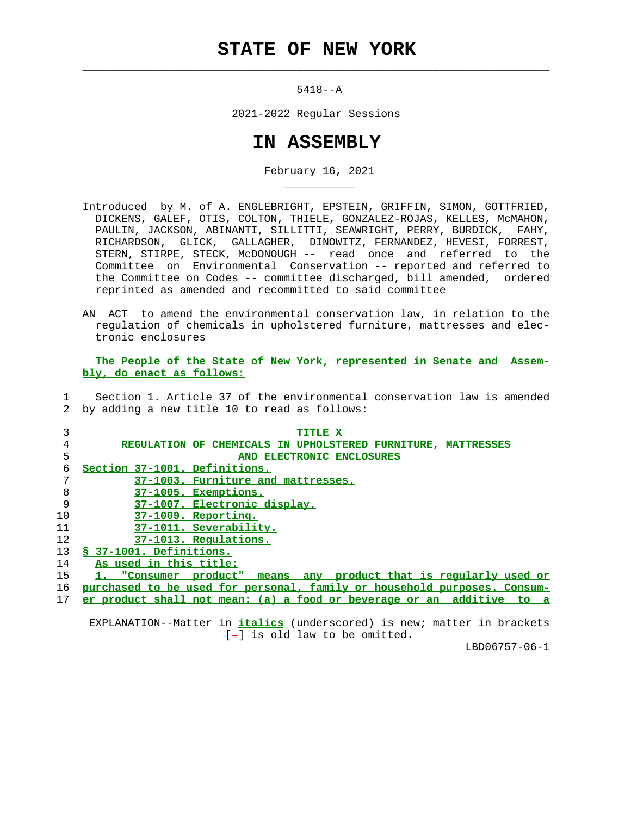## **STATE OF NEW YORK**

 $\mathcal{L}_\text{max} = \frac{1}{2} \sum_{i=1}^{n} \frac{1}{2} \sum_{i=1}^{n} \frac{1}{2} \sum_{i=1}^{n} \frac{1}{2} \sum_{i=1}^{n} \frac{1}{2} \sum_{i=1}^{n} \frac{1}{2} \sum_{i=1}^{n} \frac{1}{2} \sum_{i=1}^{n} \frac{1}{2} \sum_{i=1}^{n} \frac{1}{2} \sum_{i=1}^{n} \frac{1}{2} \sum_{i=1}^{n} \frac{1}{2} \sum_{i=1}^{n} \frac{1}{2} \sum_{i=1}^{n} \frac{1$ 

\_\_\_\_\_\_\_\_\_\_\_

5418--A

2021-2022 Regular Sessions

## **IN ASSEMBLY**

February 16, 2021

- Introduced by M. of A. ENGLEBRIGHT, EPSTEIN, GRIFFIN, SIMON, GOTTFRIED, DICKENS, GALEF, OTIS, COLTON, THIELE, GONZALEZ-ROJAS, KELLES, McMAHON, PAULIN, JACKSON, ABINANTI, SILLITTI, SEAWRIGHT, PERRY, BURDICK, FAHY, RICHARDSON, GLICK, GALLAGHER, DINOWITZ, FERNANDEZ, HEVESI, FORREST, STERN, STIRPE, STECK, McDONOUGH -- read once and referred to the Committee on Environmental Conservation -- reported and referred to the Committee on Codes -- committee discharged, bill amended, ordered reprinted as amended and recommitted to said committee
- AN ACT to amend the environmental conservation law, in relation to the regulation of chemicals in upholstered furniture, mattresses and elec tronic enclosures

 **The People of the State of New York, represented in Senate and Assem bly, do enact as follows:**

 1 Section 1. Article 37 of the environmental conservation law is amended 2 by adding a new title 10 to read as follows:

| 3  | TITLE X                                                                           |
|----|-----------------------------------------------------------------------------------|
| 4  | REGULATION OF CHEMICALS IN UPHOLSTERED FURNITURE.<br><b>MATTRESSES</b>            |
| 5  | AND ELECTRONIC ENCLOSURES                                                         |
| 6  | Section 37-1001. Definitions.                                                     |
| 7  | 37-1003. Furniture and mattresses.                                                |
| 8  | 37-1005. Exemptions.                                                              |
| 9  | 37-1007. Electronic display.                                                      |
| 10 | 37-1009. Reporting.                                                               |
| 11 | 37-1011. Severability.                                                            |
| 12 | 37-1013. Regulations.                                                             |
| 13 | § 37-1001. Definitions.                                                           |
| 14 | As used in this title:                                                            |
| 15 | product that is regularly used or<br>product"<br><b>"Consumer</b><br>any<br>means |
| 16 | purchased to be used for personal, family or household purposes. Consum-          |
| 17 | er product shall not mean: (a) a food or beverage or an additive<br>to.<br>- a    |
|    |                                                                                   |

 EXPLANATION--Matter in **italics** (underscored) is new; matter in brackets  $[-]$  is old law to be omitted.

LBD06757-06-1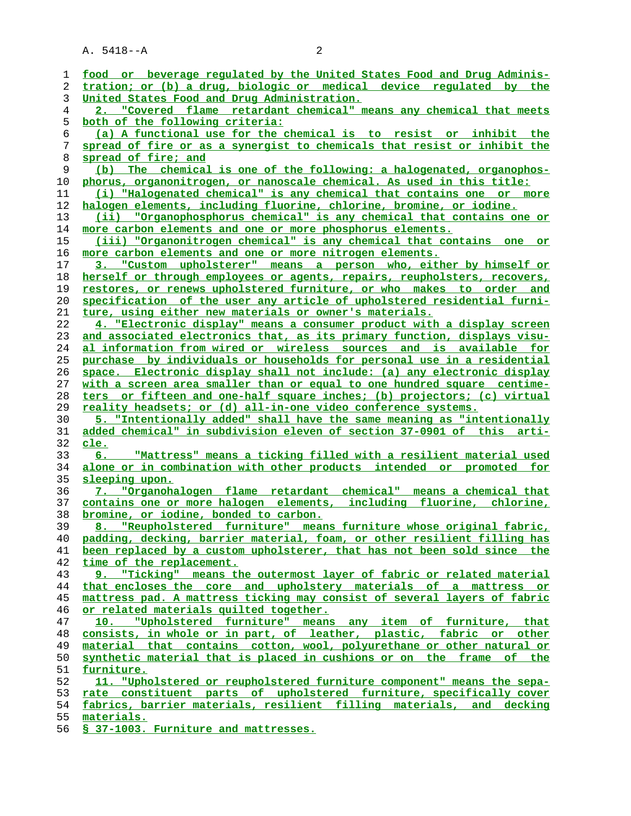A. 5418--A 2

| ı  | food or beverage regulated by the United States Food and Drug Adminis-   |
|----|--------------------------------------------------------------------------|
| 2  | tration; or (b) a drug, biologic or medical device regulated by the      |
| 3  | United States Food and Drug Administration.                              |
| 4  | 2. "Covered flame retardant chemical" means any chemical that meets      |
| 5  | both of the following criteria:                                          |
| 6  | (a) A functional use for the chemical is to resist or inhibit the        |
| 7  | spread of fire or as a synergist to chemicals that resist or inhibit the |
| 8  | spread of fire; and                                                      |
| 9  | (b) The chemical is one of the following: a halogenated, organophos-     |
| 10 | phorus, organonitrogen, or nanoscale chemical. As used in this title:    |
| 11 | (i) "Halogenated chemical" is any chemical that contains one or more     |
| 12 | halogen elements, including fluorine, chlorine, bromine, or iodine.      |
| 13 | (ii) "Organophosphorus chemical" is any chemical that contains one or    |
| 14 | more carbon elements and one or more phosphorus elements.                |
|    |                                                                          |
| 15 | (iii) "Organonitrogen chemical" is any chemical that contains one or     |
| 16 | more carbon elements and one or more nitrogen elements.                  |
| 17 | 3. "Custom upholsterer" means a person who, either by himself or         |
| 18 | herself or through employees or agents, repairs, reupholsters, recovers, |
| 19 | restores, or renews upholstered furniture, or who makes to order and     |
| 20 | specification of the user any article of upholstered residential furni-  |
| 21 | ture, using either new materials or owner's materials.                   |
| 22 | 4. "Electronic display" means a consumer product with a display screen   |
| 23 | and associated electronics that, as its primary function, displays visu- |
| 24 | al information from wired or wireless sources and is available for       |
| 25 | purchase by individuals or households for personal use in a residential  |
| 26 | space. Electronic display shall not include: (a) any electronic display  |
| 27 | with a screen area smaller than or equal to one hundred square centime-  |
| 28 | ters or fifteen and one-half square inches; (b) projectors; (c) virtual  |
| 29 | reality headsets; or (d) all-in-one video conference systems.            |
| 30 | 5. "Intentionally added" shall have the same meaning as "intentionally   |
| 31 | added chemical" in subdivision eleven of section 37-0901 of this arti-   |
| 32 | <u>cle.</u>                                                              |
| 33 | "Mattress" means a ticking filled with a resilient material used         |
| 34 | alone or in combination with other products intended or promoted for     |
| 35 | sleeping upon.                                                           |
| 36 | 7. "Organohalogen flame retardant chemical" means a chemical that        |
| 37 | contains one or more halogen elements, including fluorine, chlorine,     |
| 38 | bromine, or iodine, bonded to carbon.                                    |
| 39 | 8. "Reupholstered furniture" means furniture whose original fabric,      |
| 40 | padding, decking, barrier material, foam, or other resilient filling has |
| 41 | been replaced by a custom upholsterer, that has not been sold since the  |
| 42 | time of the replacement.                                                 |
| 43 | 9. "Ticking" means the outermost layer of fabric or related material     |
| 44 | that encloses the core and upholstery materials of a mattress or         |
| 45 | mattress pad. A mattress ticking may consist of several layers of fabric |
| 46 | or related materials quilted together.                                   |
| 47 | "Upholstered furniture" means any item of furniture, that<br>10.         |
| 48 | consists, in whole or in part, of leather, plastic, fabric or other      |
| 49 | material that contains cotton, wool, polyurethane or other natural or    |
| 50 | synthetic material that is placed in cushions or on the frame of the     |
| 51 | furniture.                                                               |
| 52 | 11. "Upholstered or reupholstered furniture component" means the sepa-   |
| 53 | rate constituent parts of upholstered furniture, specifically cover      |
| 54 | fabrics, barrier materials, resilient filling materials, and decking     |
| 55 | materials.                                                               |
|    |                                                                          |

**§ 37-1003. Furniture and mattresses.**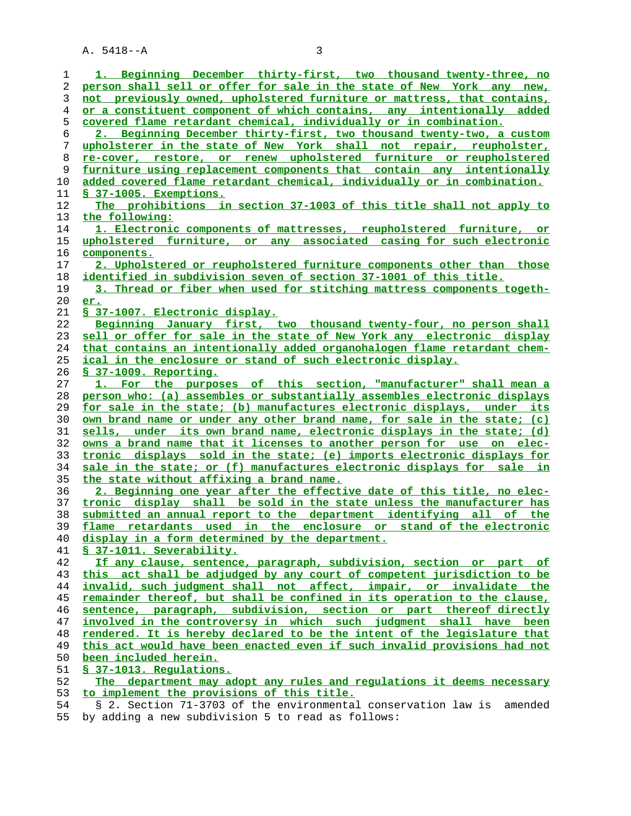A. 5418--A 3

| 1  | 1. Beginning December thirty-first, two thousand twenty-three, no        |
|----|--------------------------------------------------------------------------|
| 2  | person shall sell or offer for sale in the state of New York any new,    |
| 3  | not previously owned, upholstered furniture or mattress, that contains,  |
| 4  | or a constituent component of which contains, any intentionally added    |
| 5  | covered flame retardant chemical, individually or in combination.        |
|    | 2. Beginning December thirty-first, two thousand twenty-two, a custom    |
| 6  |                                                                          |
| 7  | upholsterer in the state of New York shall not repair, reupholster,      |
| 8  | re-cover, restore, or renew upholstered furniture or reupholstered       |
| 9  | furniture using replacement components that contain any intentionally    |
| 10 | added covered flame retardant chemical, individually or in combination.  |
| 11 | § 37-1005. Exemptions.                                                   |
| 12 | The prohibitions in section 37-1003 of this title shall not apply to     |
| 13 | the following:                                                           |
|    |                                                                          |
| 14 | 1. Electronic components of mattresses, reupholstered furniture, or      |
| 15 | upholstered furniture, or any associated casing for such electronic      |
| 16 | components.                                                              |
| 17 | 2. Upholstered or reupholstered furniture components other than those    |
| 18 | <u>identified in subdivision seven of section 37-1001 of this title.</u> |
| 19 | 3. Thread or fiber when used for stitching mattress components togeth-   |
| 20 | er.                                                                      |
| 21 |                                                                          |
|    | <u>S 37-1007. Electronic display.</u>                                    |
| 22 | Beginning January first, two thousand twenty-four, no person shall       |
| 23 | sell or offer for sale in the state of New York any electronic display   |
| 24 | that contains an intentionally added organohalogen flame retardant chem- |
| 25 | ical in the enclosure or stand of such electronic display.               |
| 26 | <u>S 37-1009. Reporting.</u>                                             |
| 27 | 1. For the purposes of this section, "manufacturer" shall mean a         |
| 28 | person who: (a) assembles or substantially assembles electronic displays |
| 29 | for sale in the state; (b) manufactures electronic displays, under its   |
| 30 | own brand name or under any other brand name, for sale in the state; (c) |
|    |                                                                          |
| 31 | sells, under its own brand name, electronic displays in the state; (d)   |
| 32 | owns a brand name that it licenses to another person for use on elec-    |
| 33 | tronic displays sold in the state; (e) imports electronic displays for   |
| 34 | sale in the state; or (f) manufactures electronic displays for sale in   |
| 35 | the state without affixing a brand name.                                 |
| 36 | 2. Beginning one year after the effective date of this title, no elec-   |
| 37 | tronic display shall be sold in the state unless the manufacturer has    |
| 38 | submitted an annual report to the department identifying all of the      |
| 39 | flame retardants used in the enclosure or stand of the electronic        |
| 40 | display in a form determined by the department.                          |
|    |                                                                          |
| 41 | § 37-1011. Severability.                                                 |
| 42 | If any clause, sentence, paragraph, subdivision, section or part of      |
| 43 | this act shall be adjudged by any court of competent jurisdiction to be  |
| 44 | invalid, such judgment shall not affect, impair, or invalidate the       |
| 45 | remainder thereof, but shall be confined in its operation to the clause, |
| 46 | sentence, paragraph, subdivision, section or part thereof directly       |
| 47 | involved in the controversy in which such judgment shall have been       |
| 48 | rendered. It is hereby declared to be the intent of the legislature that |
| 49 | this act would have been enacted even if such invalid provisions had not |
| 50 | been included herein.                                                    |
| 51 | § 37-1013. Regulations.                                                  |
|    |                                                                          |
| 52 | The department may adopt any rules and regulations it deems necessary    |
| 53 | to implement the provisions of this title.                               |
| 54 | § 2. Section 71-3703 of the environmental conservation law is<br>amended |

55 by adding a new subdivision 5 to read as follows: